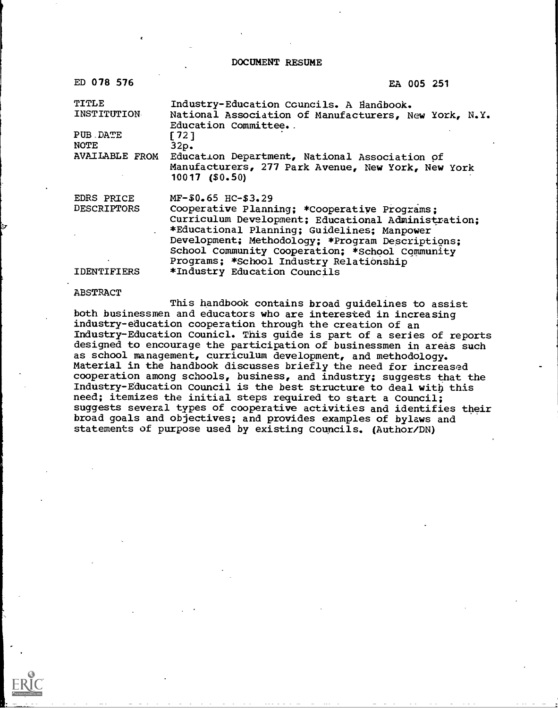DOCUMENT RESUME

| ED 078 576                       | EA 005 251                                                                                                                                                                                                                                                                                                                  |
|----------------------------------|-----------------------------------------------------------------------------------------------------------------------------------------------------------------------------------------------------------------------------------------------------------------------------------------------------------------------------|
| TITLE<br>INSTITUTION             | Industry-Education Councils. A Handbook.<br>National Association of Manufacturers, New York, N.Y.<br>Education Committee.                                                                                                                                                                                                   |
| PUB DATE<br><b>NOTE</b>          | 1721<br>32p.                                                                                                                                                                                                                                                                                                                |
| <b>AVAILABLE FROM</b>            | Education Department, National Association of<br>Manufacturers, 277 Park Avenue, New York, New York<br>$10017$ (\$0.50)                                                                                                                                                                                                     |
| EDRS PRICE<br><b>DESCRIPTORS</b> | MF-\$0.65 HC-\$3.29<br>Cooperative Planning; *Cooperative Programs;<br>Curriculum Development; Educational Administration;<br>*Educational Planning; Guidelines; Manpower<br>Development; Methodology; *Program Descriptions;<br>School Community Cooperation: *School Community<br>Programs; *School Industry Relationship |
| <b>IDENTIFIERS</b>               | *Industry Education Councils                                                                                                                                                                                                                                                                                                |

IDENTIFIERS

#### ABSTRACT

This handbook contains broad guidelines to assist both businessmen and educators who are interested in increasing industry-education cooperation through the creation of an Industry-Education Counicl. This guide is part of a series of reports designed to encourage the participation of businessmen in areas such as school management, curriculum development, and methodology. Material in the handbook discusses briefly the need for increased cooperation among schools, business, and industry; suggests that the Industry-Education Council is the best structure to deal with this need; itemizes the initial steps required to start a Council; suggests several types of cooperative activities and identifies their broad goals and objectives; and provides examples of bylaws and statements of purpose used by existing Councils. (Author/DN)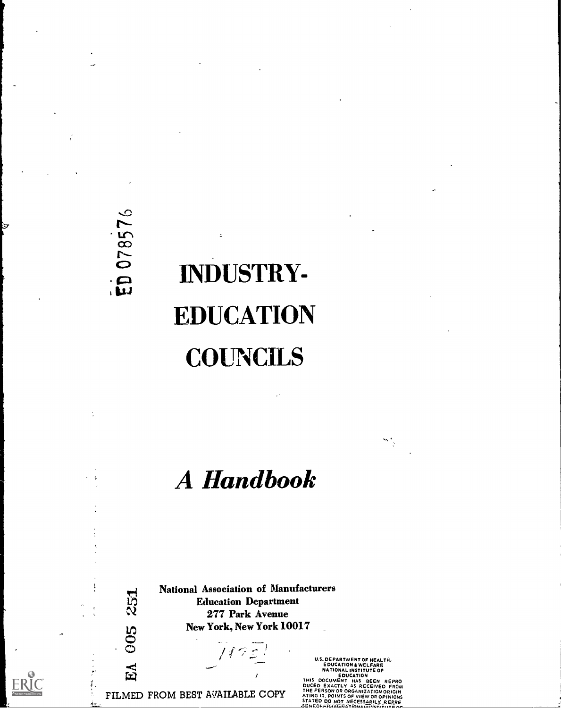# 07857  $\mathbf{G}$

k.

251

005

EA

## INDUSTRY-EDUCATION **COUNCILS**

## A Handbook

National Association of Manufacturers Education Department 277 Park Avenue New York, New York 10017

147

FILMED FROM BEST AVAILABLE COPY

U.S. DEPARTMENT OF HEALTH,<br>
EDUCATION & WELFARE<br>
NATIONAL INSTITUTE OF<br>
NATIONAL INSTITUTE OF<br>
EDUCATION<br>
THIS DOCUMENT HAS BEEN REPRO<br>
DUCED EXACTLY AS RECEIVED FROM<br>
ATING IT, POINTS OF VIEW OR OPINIONS<br>
STATED DO NOT NE

×t,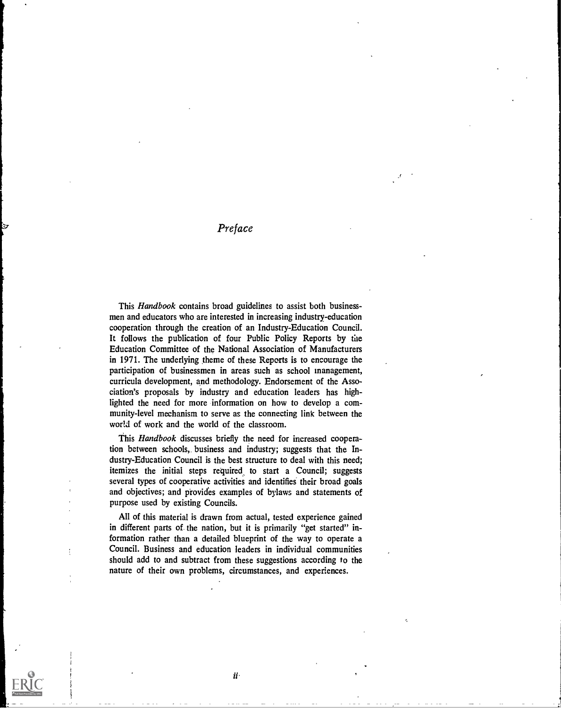Preface

This Handbook contains broad guidelines to assist both businessmen and educators who are interested in increasing industry-education cooperation through the creation of an Industry-Education Council. It follows the publication of four Public Policy Reports by the Education Committee of the National Association of Manufacturers in 1971. The underlying theme of these Reports is to encourage the participation of businessmen in areas such as school management, curricula development, and methodology. Endorsement of the Association's proposals by industry and education leaders has highlighted the need for more information on how to develop a community-level mechanism to serve as the connecting link between the world of work and the world of the classroom.

This Handbook discusses briefly the need for increased cooperation between schools, business and industry; suggests that the Industry-Education Council is the best structure to deal with this need; itemizes the initial steps required to start a Council; suggests several types of cooperative activities and identifies their broad goals and objectives; and piovides examples of bylaws and statements of purpose used by existing Councils.

All of this material is drawn from actual, tested experience gained in different parts of the nation, but it is primarily "get started" information rather than a detailed blueprint of the way to operate a Council. Business and education leaders in individual communities should add to and subtract from these suggestions according to the nature of their own problems, circumstances, and experiences.

ii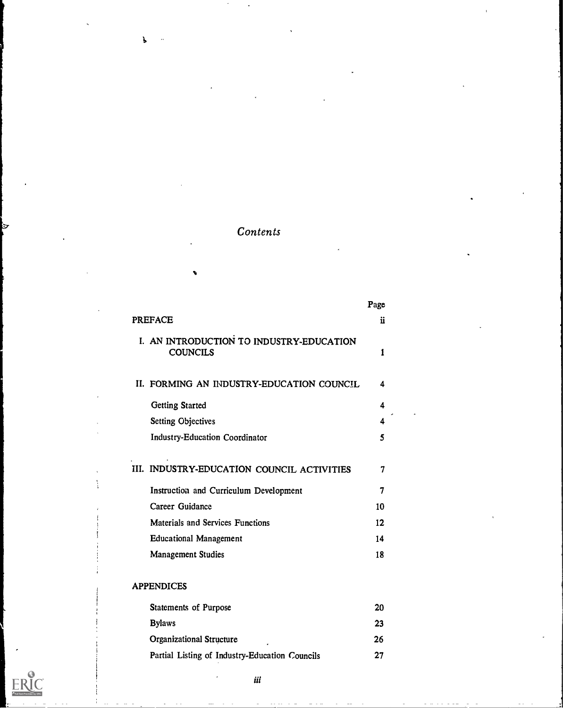## **Contents**

1.

|                                                             | Page |
|-------------------------------------------------------------|------|
| <b>PREFACE</b>                                              | ii   |
| I. AN INTRODUCTION TO INDUSTRY-EDUCATION<br><b>COUNCILS</b> | 1    |
| II. FORMING AN INDUSTRY-EDUCATION COUNCIL                   | 4    |
| <b>Getting Started</b>                                      | 4    |
| <b>Setting Objectives</b>                                   | 4    |
| <b>Industry-Education Coordinator</b>                       | 5    |
| III. INDUSTRY-EDUCATION COUNCIL ACTIVITIES                  | 7    |
| Instruction and Curriculum Development                      | 7    |
| Career Guidance                                             | 10   |
| Materials and Services Functions                            | 12   |
| <b>Educational Management</b>                               | 14   |
| Management Studies                                          | 18   |
| <b>APPENDICES</b>                                           |      |
| <b>Statements of Purpose</b>                                | 20   |
| <b>Bylaws</b>                                               | 23   |
| <b>Organizational Structure</b>                             | 26   |
| Partial Listing of Industry-Education Councils              | 27   |

ERIC<br>AFull Text Provided by ERIC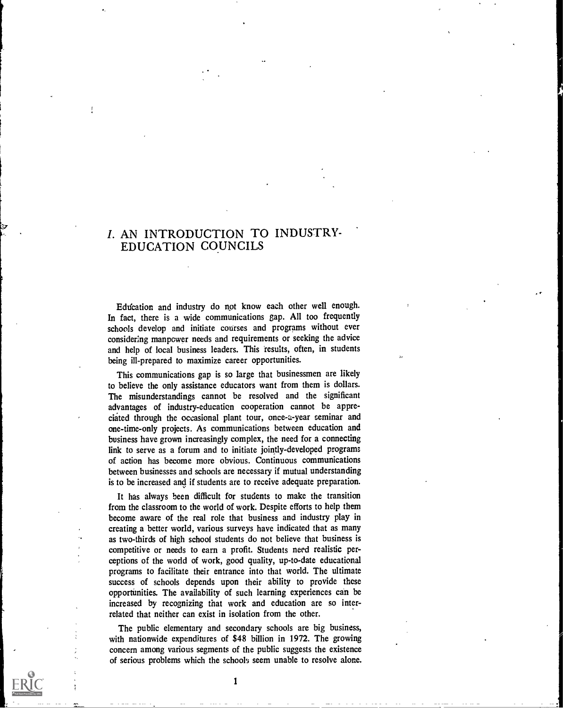## 1. AN INTRODUCTION TO INDUSTRY-EDUCATION COUNCILS

Education and industry do not know each other well enough. In fact, there is a wide communications gap. All too frequently schools develop and initiate courses and programs without ever considering manpcwer needs and requirements or seeking the advice and help of local business leaders. This results, often, in students being ill-prepared to maximize career opportunities.

This communications gap is so large that businessmen are likely to believe the only assistance educators want from them is dollars. The misunderstandings cannot be resolved and the significant advantages of industry-education cooperation cannot be appreciated through the occasional plant tour, once-a-year seminar and one-time-only projects. As communications between education and business have grown increasingly complex, the need for a connecting link to serve as a forum and to initiate jointly-developed programs of action has become more obvious. Continuous communications between businesses and schools are necessary if mutual understanding is to be increased and if students are to receive adequate preparation.

It has always been difficult for students to make the transition from the classroom to the world of work. Despite efforts to help them become aware of the real role that business and industry play in creating a better world, various surveys have indicated that as many as two-thirds of high school students do not believe that business is competitive or needs to earn a profit. Students need realistic perceptions of the world of work, good quality, up-to-date educational programs to facilitate their entrance into that world. The ultimate success of schools depends upon their ability to provide these opportunities. The availability of such learning experiences can be increased by recognizing that work and education are so interrelated that neither can exist in isolation from the other.

The public elementary and secondary schools are big business, with nationwide expenditures of \$48 billion in 1972. The growing concern among various segments of the public suggests the existence of serious problems which the schools seem unable to resolve alone.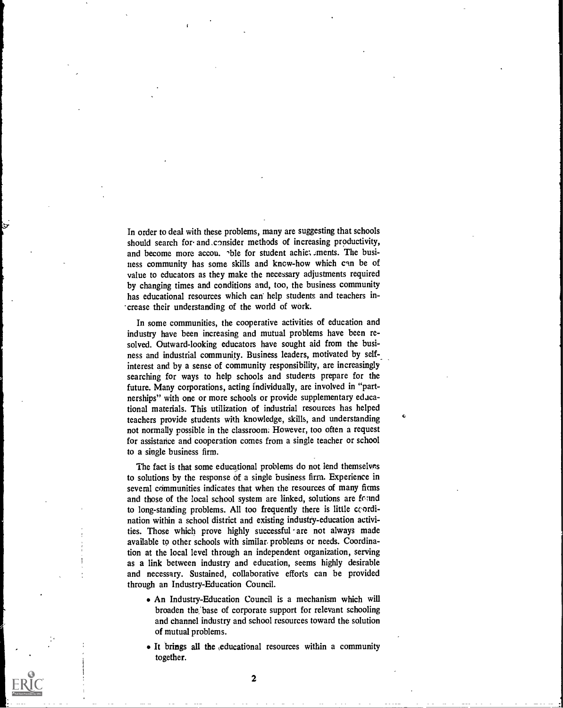In order to deal with these problems, many are suggesting that schools should search for and \_consider methods of increasing productivity, and become more accou. <sup>-</sup>ble for student achie: .ments. The business community has some skills and know-how which can be of value to educators as they make the necessary adjustments required by changing times and conditions and, too, the business community has educational resources which can help students and teachers increase their understanding of the world of work.

In some communities, the cooperative activities of education and industry have been increasing and mutual problems have been resolved. Outward-looking educators have sought aid from the business and industrial community. Business leaders, motivated by self-\_ interest and by a sense of community responsibility, are increasingly searching for ways to help schools and students prepare for the future. Many corporations, acting individually, are involved in "partnerships" with one or more schools or provide supplementary educational materials. This utilization of industrial resources has helped teachers provide students with knowledge, skills, and understanding not normally possible in the classroom: However, too often a request for assistance and cooperation comes from a single teacher or school to a single business firm.

The fact is that some educational problems do not lend themselves to solutions by the response of a single business firm. Experience in several communities indicates that when the resources of many firms and those of the local school system are linked, solutions are found to long-standing problems. All too frequently there is little ccordination within a school district and existing industry-education activities. Those which prove highly successful are not always made available to other schools with similar problems or needs. Coordination at the local level through an independent organization, serving as a link between industry and education, seems highly desirable and necessary. Sustained, collaborative efforts can be provided through an Industry-Education Council.

- An Industry-Education Council is a mechanism which will broaden the base of corporate support for relevant schooling and channel industry and school resources toward the solution of mutual problems.
- It brings all the ,educational resources within a community together.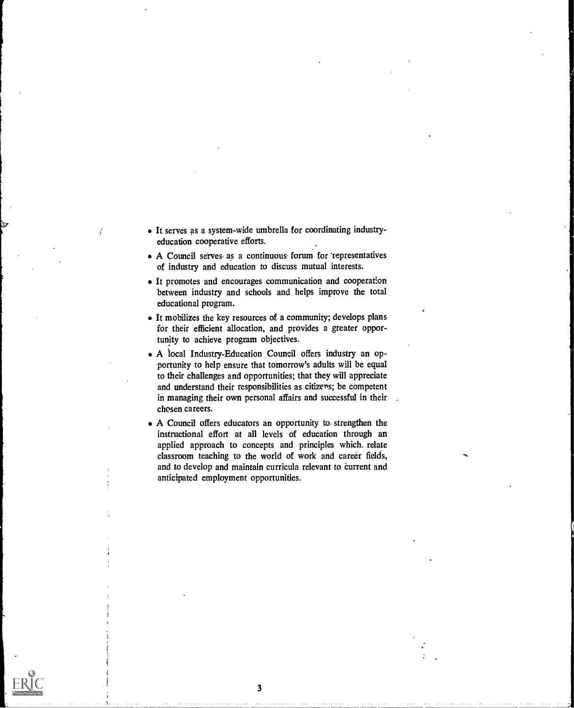- It serves as a system-wide umbrella for coordinating industryeducation cooperative efforts.
- A Council serves as a continuous forum for representatives of industry and education to discuss mutual interests.
- It promotes and encourages communication and cooperation between industry and schools and helps improve the total educational program.
- It mobilizes the key resources of a community; develops plans for their efficient allocation, and provides a greater opportunity to achieve program objectives.
- A local Industry-Education Council offers industry an opportunity to help ensure that tomorrow's adults will be equal to their challenges and opportunities; that they will appreciate and understand their responsibilities as citizens; be competent in managing their own personal affairs and successful in their chosen careers.
- A Council offers educators an opportunity to strengthen the instructional effort at all levels of education through an applied approach to concepts and principles which. relate classroom teaching to the world of work and career fields, and to develop and maintain curricula relevant to current and anticipated employment opportunities.

3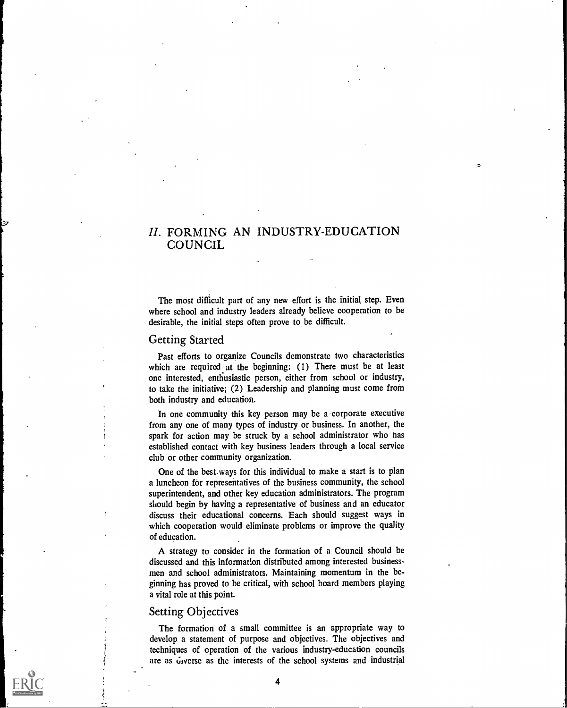## II. FORMING AN INDUSTRY-EDUCATION COUNCIL

The most difficult part of any new effort is the initial step. Even where school and industry leaders already believe cooperation to be desirable, the initial steps often prove to be difficult.

#### Getting Started

Past efforts to organize Councils demonstrate two characteristics which are required at the beginning: (1) There must be at least one interested, enthusiastic person, either from school or industry, to take the initiative; (2) Leadership and planning must come from both industry and education.

In one community this key person may be a corporate executive from any one of many types of industry or business. In another, the spark for action may be struck by a school administrator who has established contact with key business leaders through a local service club or other community organization.

One of the best.ways for this individual to make a start is to plan a luncheon for representatives of the business community, the school superintendent, and other key education administrators. The program should begin by having a representative of business and an educator discuss their educational concerns. Each should suggest ways in which cooperation would eliminate problems or improve the quality of education.

A strategy to consider in the formation of a Council should be discussed and this information distributed among interested businessmen and school administrators. Maintaining momentum in the beginning has proved to be critical, with school board members playing a vital role at this point.

#### Setting Objectives

The formation of a small committee is an appropriate way to develop a statement of purpose and objectives. The objectives and techniques of operation of the various industry-education councils are as *u*verse as the interests of the school systems and industrial

4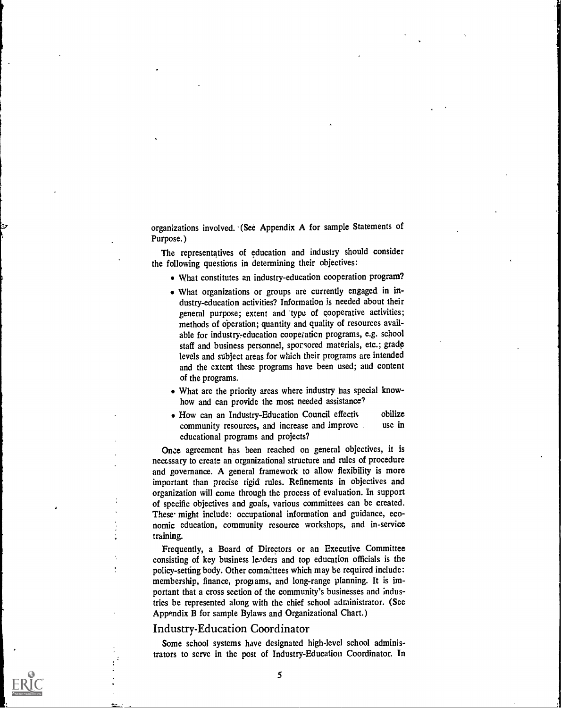organizations involved. (See Appendix A for sample Statements of Purpose.)

The representatives of education and industry should consider the following questions in determining their objectives:

- What constitutes an industry-education cooperation program?
- What organizations or groups are currently engaged in industry-education activities? Information is needed about their general purpose; extent and type of cooperative activities; methods of operation; quantity and quality of resources available for industry-education cooperation programs, e.g. school staff and business personnel, sporsored materials, etc.; grade levels and subject areas for which their programs are intended and the extent these programs have been used; and content of the programs.
- What are the priority areas where industry has special knowhow and can provide the most needed assistance?
- How can an Industry-Education Council effectiv obilize community resources, and increase and improve use in educational programs and projects?

Once agreement has been reached on general objectives, it is neccssary to create an organizational structure and rules of procedure and governance. A general framework to allow flexibility is more important than precise rigid rules. Refinements in objectives and organization will come through the process of evaluation. In support of specific objectives and goals, various committees can be created. These might include: occupational information and guidance, economic education, community resource workshops, and in-service training.

Frequently, a Board of Directors or an Executive Committee consisting of key business leaders and top education officials is the policy-setting body. Other committees which may be required include: membership, finance, programs, and long-range planning. It is important that a cross section of the community's businesses and industries be represented along with the chief school administrator. (See Appendix B for sample Bylaws and Organizational Chart.)

#### Industry-Education Coordinator

Some school systems have designated high-level school administrators to serve in the post of Industry-Education Coordinator. In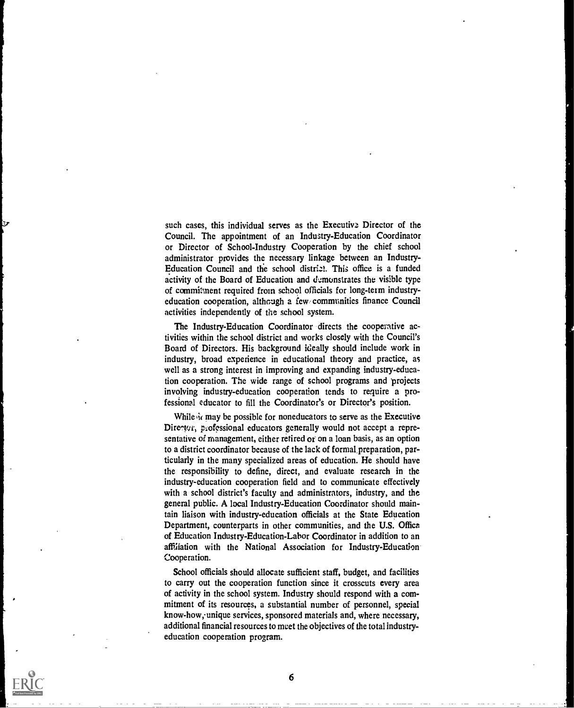such cases, this individual serves as the Executive Director of the Council. The appointment of an Industry-Education Coordinator or Director of School-Industry Cooperation by the chief school administrator provides the necessary linkage between an Industry-Education Council and the school district. This office is a funded activity of the Board of Education and demonstrates the visible type of commitment required from school officials for long-term industryeducation cooperation, although a few. communities finance Council activities independently of the school system.

The Industry-Education Coordinator directs the cooperative activities within the school district and works closely with the Council's Board of Directors. His background ideally should include work in industry, broad experience in educational theory and practice, as well as a strong interest in improving and expanding industry-education cooperation. The wide range of school programs and 'projects involving industry-education cooperation tends to require a professional educator to fill the Coordinator's or Director's position.

While it may be possible for noneducators to serve as the Executive Director, professional educators generally would not accept a representative of management, either retired or on a loan basis, as an option to a district coordinator because of the lack of formal preparation, particularly in the many specialized areas of education. He should have the responsibility to define, direct, and evaluate research in the industry-education cooperation field and to communicate effectively with a school district's faculty and administrators, industry, and the general public. A local Industry-Education Coordinator should maintain liaison with industry-education officials at the State Education Department, counterparts in other communities, and the U.S. Office of Education Industry-Education-Labor Coordinator in addition to an affiliation with the National Association for Industry-Education Cooperation.

School officials should allocate sufficient staff, budget, and facilities to carry out the cooperation function since it crosscuts every area of activity in the school system. Industry should respond with a commitment of its resources, a substantial number of personnel, special know-how, unique services, sponsored materials and, where necessary, additional financial resources to meet the objectives of the total industryeducation cooperation program.

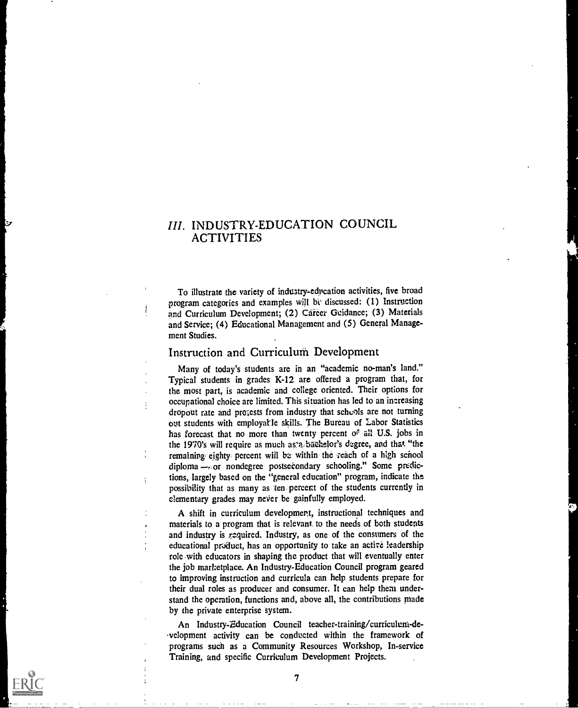## III. INDUSTRY-EDUCATION COUNCIL **ACTIVITIES**

To illustrate the variety of industry-echication activities, five broad program categories and examples will be discussed: (1) Instruction and Curriculum Development; (2) Career Guidance; (3) Materials and Service; (4) Educational Management and (5) General Management Studies.

#### Instruction and Curriculum Development

÷

Many of today's students are in an "academic no-man's land." Typical students in grades K-12 are offered a program that, for the most part, is academic and college oriented. Their options for occupational choice are limited. This situation has led to an inereasing dropout rate and projests from industry that scheols are not turning out students with employatle skills. The Bureau of Labor Statistics has forecast that no more than twenty percent of all U.S. jobs in the 1970's will require as much as a backelor's degree, and that "the remaining eighty percent will be within the reach of a high school diploma - or nondegree postsecondary schooling." Some predictions, largely based on the "general education" program, indicate the possibility that as many as ten percent of the students currently in elementary grades may never be gainfully employed.

A shift in curriculum development, instructional techniques and materials to a program that is relevant, to the needs of both students and industry is  $r$  aguired. Industry, as one of the consumers of the educational product, has an opportunity to take an active leadership role with educators in shaping the product that will eventually enter the job marketplace. An Industry-Education Council program geared to improving instruction and curricula can help students prepare for their dual roles as producer and consumer. It can help them understand the operation, functions and, above all, the contributions made by the private enterprise system.

An Industry-Education Council teacher-training/curriculum-de- .velopment activity can be conducted within the framework of programs such as a Community Resources Workshop, In-service Training, and specific Curriculum Development Projects.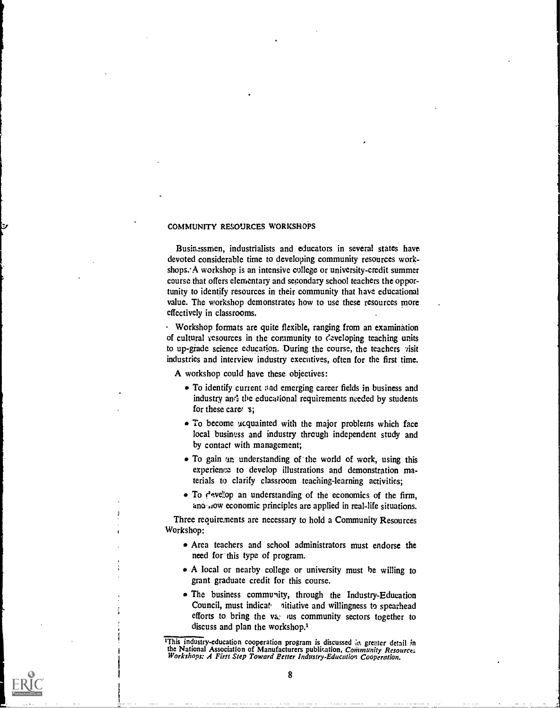#### COMMUNITY RESOURCES WORKSHOPS

Businessmen, industrialists and educators in several states have devoted considerable time to developing community resources workshops. A workshop is an intensive college or university-credit summer course that offers elementary and secondary school teachers the opportunity to identify resources in their community that have educational value. The workshop demonstrates how to use these resources more effectively in classrooms.

Workshop formats are quite flexible, ranging from an examination of cultural yesources in the community to  $\zeta$  eveloping teaching units to up-grade science education. During the course, the teachers visit industries and interview industry executives, often for the first time.

A workshop could have these objectives:

- To identify current and emerging career fields in business and industry and the educational requirements needed by students for these care $\epsilon$  s:
- To become ucquainted with the major problems which face local business and industry through independent study and by contact with management;
- To gain an understanding of the world of work, using this experience to develop illustrations and demonstration materials to clarify classroom teaching-learning activities;
- $\bullet$  To  $f'$  evelop an understanding of the economics of the firm, ano , low economic principles are applied in real-life situations.

Three requirements are necessary to hold a Community Resources Workshop:

- Area teachers and school administrators must endorse the need for this type of program.
- A local or nearby college or university must be willing to grant graduate credit for this course.
- The business community, through the Industry-Education Council, must indicate aitiative and willingness to spearhead efforts to bring the va: us community sectors together to discuss and plan the workshop.<sup>1</sup>

<sup>&</sup>lt;sup>1</sup>This industry-education cooperation program is discussed in greater detail in the National Association of Manufacturers publication, Community Resource;<br>Workshops: A First Step Toward Better Industry-Education Cooperation.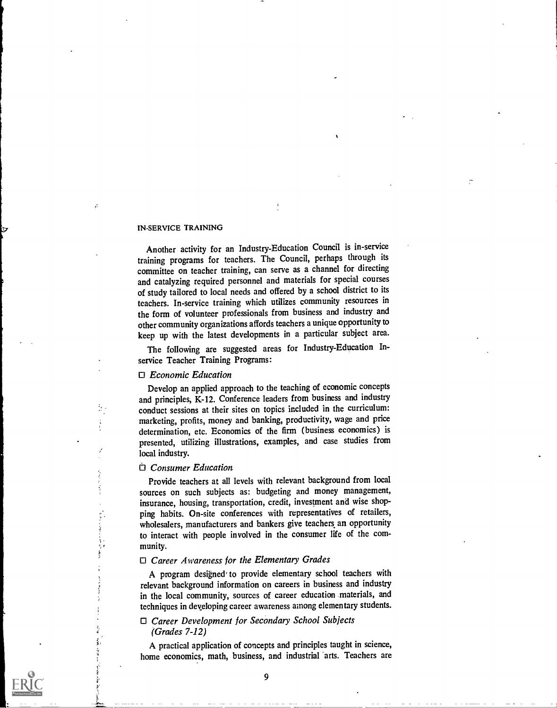#### IN-SERVICE TRAINING

Another activity for an Industry-Education Council is in-service training programs for teachers. The Council, perhaps through its committee on teacher training, can serve as a channel for directing and catalyzing required personnel and materials for special courses of study tailored to local needs and offered by a school district to its teachers. In-service training which utilizes community resources in the form of volunteer professionals from business and industry and other community organizations affords teachers a unique opportunity to keep up with the latest developments in a particular subject area.

The following are suggested areas for Industry-Education Inservice Teacher Training Programs:

#### 0 Economic Education

Develop an applied approach to the teaching of economic concepts and principles, K-12. Conference leaders from business and industry conduct sessions at their sites on topics included in the curriculum: marketing, profits, money and banking, productivity, wage and price determination, etc. Economics of the firm (business economics) is presented, utilizing illustrations, examples, and case studies from local industry.

#### $\Box$  Consumer Education

 $\frac{1}{2}$  $\frac{1}{2}$ 

Provide teachers at all levels with relevant background from local sources on such subjects as: budgeting and money management, insurance, housing, transportation, credit, investment and wise shopping habits. On-site conferences with representatives of retailers, wholesalers, manufacturers and bankers give teachers an opportunity to interact with people involved in the consumer life of the community.

#### $\Box$  Career Awareness for the Elementary Grades

A program designed to provide elementary school teachers with relevant background information on careers in business and industry in the local community, sources of career education materials, and techniques in developing career awareness among elementary students.

#### 0 Career Development for Secondary School Subjects (Grades 7-12)

A practical application of concepts and principles taught in science, home economics, math, business, and industrial 'arts. Teachers are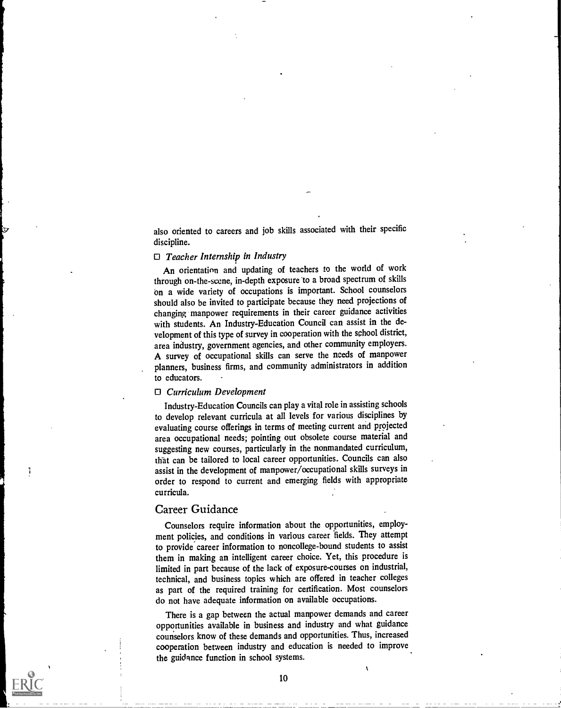also oriented to careers and job skills associated with their specific discipline.

#### $\Box$  Teacher Internship in Industry

An orientation and updating of teachers to the world of work through on-the-scene, in-depth exposure 'to a broad spectrum of skills on a wide variety of occupations is important. School counselors should also be invited to participate because they need projections of changing manpower requirements in their career guidance activities with students. An Industry-Education Council can assist in the development of this type of survey in cooperation with the school district, area industry, government agencies, and other community employers. A survey of occupational skills can serve the needs of manpower planners, business firms, and community administrators in addition to educators.

#### 0 Curriculum Development

Industry-Education Councils can play a vital role in assisting schools to develop relevant curricula at all levels for various disciplines by evaluating course offerings in terms of meeting current and projected area occupational needs; pointing out obsolete course material and suggesting new courses, particularly in the nonmandated curriculum, that can be tailored to local career opportunities. Councils can also assist in the development of manpower/occupational skills surveys in order to respond to current and emerging fields with appropriate curricula.

#### Career Guidance

Ţ

Counselors require information about the opportunities, employment policies, and conditions in various career fields. They attempt to provide career information to noncollege-bound students to assist them in making an intelligent career choice. Yet, this procedure is limited in part because of the lack of exposure-courses on industrial, technical, and business topics which are offered in teacher colleges as part of the required training for certification. Most counselors do not have adequate information on available occupations.

There is a gap between the actual manpower demands and career opportunities available in business and industry and what guidance counselors know of these demands and opportunities. Thus, increased cooperation between industry and education is needed to improve the guidance function in school systems.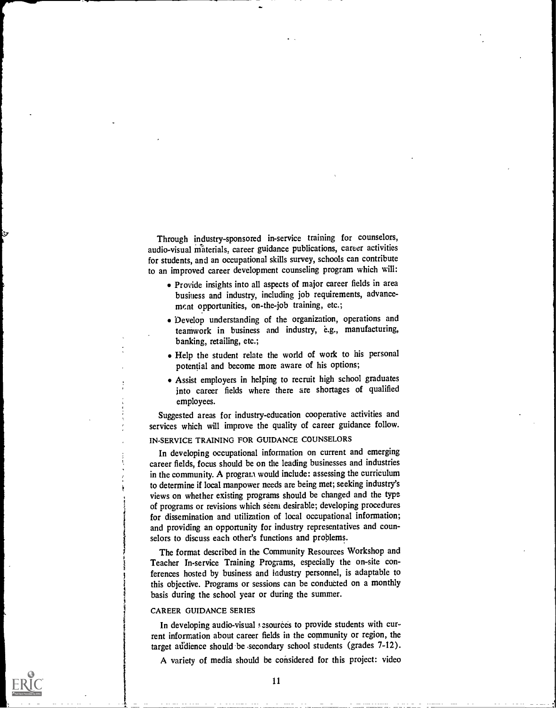Through industry-sponsored in-service training for counselors, audio-visual materials, career guidance publications, career activities for students, and an occupational skills survey, schools can contribute to an improved career development counseling program which will:

- Provide insights into all aspects of major career fields in area business and industry, including job requirements, advancement opportunities, on-the-job training, etc.;
- 'Develop understanding of the organization, operations and teamwork in business and industry, e.g., manufacturing, banking, retailing, etc.;
- Help the student relate the world of work to his personal potential and become more aware of his options;
- Assist employers in helping to recruit high school graduates into career fields where there are shortages of qualified employees.

Suggested areas for industry-education cooperative activities and services which will improve the quality of career guidance follow.

#### IN-SERVICE TRAINING FOR GUIDANCE COUNSELORS

In developing occupational information on current and emerging career fields, focus should be on the leading businesses and industries in the community. A program would include: assessing the curriculum to determine if local manpower needs are being met; seeking industry's views on whether existing programs should be changed and the type of programs or revisions which seem desirable; developing procedures for dissemination and utilization of local occupational information; and providing an opportunity for industry representatives and counselors to discuss each other's functions and problems.

The format described in the Community Resources Workshop and Teacher In-service Training Programs, especially the on-site conferences hosted by business and industry personnel, is adaptable to this objective. Programs or sessions can be conducted on a monthly basis during the school year or during the summer.

#### CAREER GUIDANCE SERIES

In developing audio-visual *s* esources to provide students with current information about career fields in the community or region, the target audience should be secondary school students (grades 7-12).

A variety of media should be considered for this project: video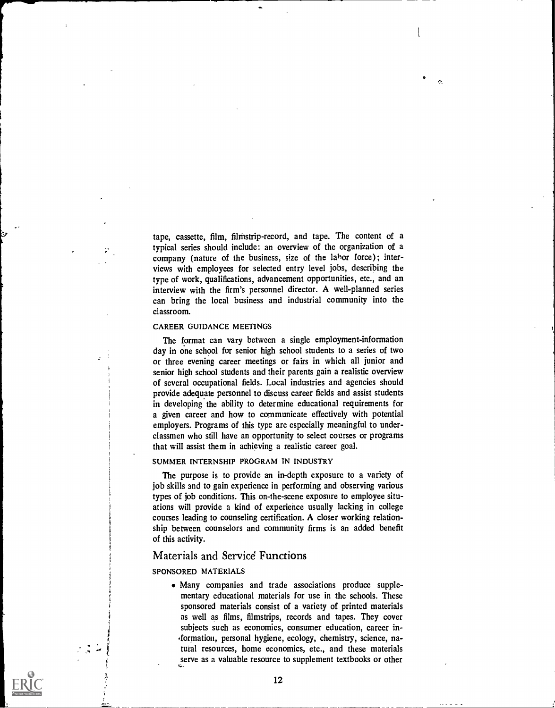tape, cassette, film, filmstrip-record, and tape. The content of a typical series should include: an overview of the organization of a company (nature of the business, size of the labor force); interviews with employees for selected entry level jobs, describing the type of work, qualifications, advancement opportunities, etc., and an interview with the firm's personnel director. A well-planned series can bring the local business and industrial community into the classroom.

 $\mathbf{\hat{C}}$ 

#### CAREER GUIDANCE MEETINGS

The format can vary between a single employment-information day in one school for senior high school students to a series of two or three evening career meetings or fairs in which all junior and senior high school students and their parents gain a realistic overview of several occupational fields. Local industries and agencies should provide adequate personnel to discuss career fields and assist students in developing the ability to determine educational requirements for a given career and how to communicate effectively with potential employers. Programs of this type are especially meaningful to underclassmen who still have an opportunity to select courses or programs that will assist them in achieving a realistic career goal.

#### SUMMER INTERNSHIP PROGRAM IN INDUSTRY

The purpose is to provide an in-depth exposure to a variety of job skills and to gain experience in performing and observing various types of job conditions. This on-the-scene exposure to employee situations will provide a kind of experience usually lacking in college courses leading to counseling certification. A closer working relationship between counselors and community firms is an added benefit of this activity.

#### Materials and Service Functions

#### SPONSORED MATERIALS

Many companies and trade associations produce supplementary educational materials for use in the schools. These sponsored materials consist of a variety of printed materials as well as films, filmstrips, records and tapes. They cover subjects such as economics, consumer education, career in- ,formation, personal hygiene, ecology, chemistry, science, natural resources, home economics, etc., and these materials serve as a valuable resource to supplement textbooks or other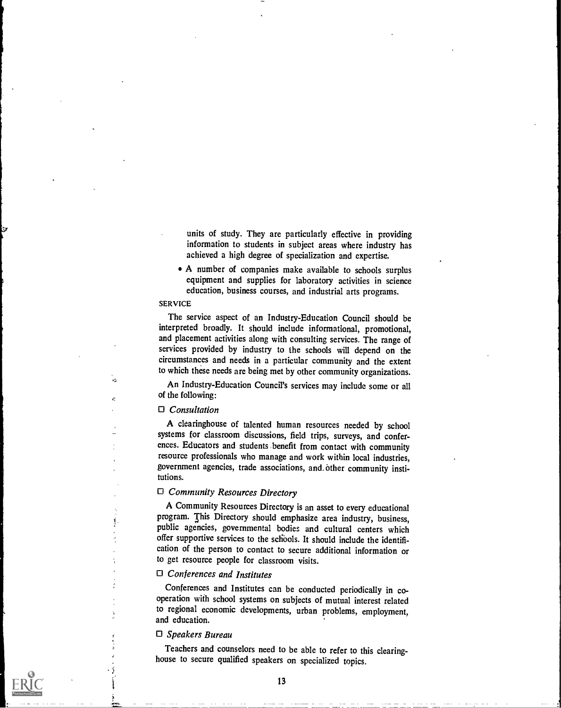units of study. They are particularly effective in providing information to students in subject areas where industry has achieved a high degree of specialization and expertise.

I

A number of companies make available to schools surplus equipment and supplies for laboratory activities in science education, business courses, and industrial arts programs.

#### SERVICE

k.

ċ

 $\ddot{x}$ 

The service aspect of an Industry-Education Council should be interpreted broadly. It should include informational, promotional, and placement activities along with consulting services. The range of services provided by industry to the schools will depend on the circumstances and needs in a particular community and the extent to which these needs are being met by other community organizations.

An Industry-Education Council's services may include some or all of the following:

#### $\Box$  Consultation

A clearinghouse of talented human resources needed by school systems for classroom discussions, field trips, surveys, and conferences. Educators and students benefit from contact with community resource professionals who manage and work within local industries, government agencies, trade associations, and other community institutions.

#### O Community Resources Directory

A Community Resources Directory is an asset to every educational program. This Directory should emphasize area industry, business, public agencies, governmental bodies and cultural centers which offer supportive services to the schools. It should include the identification of the person to contact to secure additional information or to get resource people for classroom visits.

#### $\Box$  Conferences and Institutes

Conferences and Institutes can be conducted periodically in cooperation with school systems on subjects of mutual interest related to regional economic developments, urban problems, employment, and education.

#### $\Box$  Speakers Bureau

Teachers and counselors need to be able to refer to this clearinghouse to secure qualified speakers on specialized topics.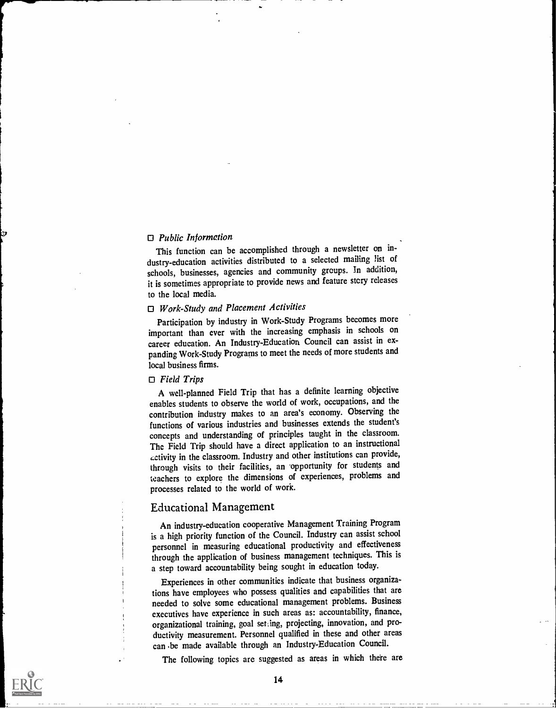#### $\Box$  Public Information

This function can be accomplished through a newsletter on industry-education activities distributed to a selected mailing list of schools, businesses, agencies and community groups. In addition, it is sometimes appropriate to provide news and feature story releases to the local media.

## $\Box$  Work-Study and Placement Activities

Participation by industry in Work-Study Programs becomes more important than ever with the increasing emphasis in schools on career education. An Industry-Education Council can assist in expanding Work-Study Programs to meet the needs of more students and local business firms.

#### $\Box$  Field Trips

A well-planned Field Trip that has a definite learning objective enables students to observe the world of work, occupations, and the contribution industry makes to an area's economy. Observing the functions of various industries and businesses extends the student's concepts and understanding of principles taught in the classroom. The Field Trip should have a direct application to an instructional ctivity in the classroom. Industry and other institutions can provide, through visits to their facilities, an opportunity for students and teachers to explore the dimensions of experiences, problems and processes related to the world of work.

#### Educational Management

An industry-education cooperative Management Training Program is a high priority function of the Council. Industry can assist school personnel in measuring educational productivity and effectiveness through the application of business management techniques. This is a step toward accountability being sought in education today.

Experiences in other communities indicate that business organizations have employees who possess qualities and capabilities that are needed to solve some educational management problems. Business executives have experience in such areas as: accountability, finance, organizational training, goal setting, projecting, innovation, and productivity measurement. Personnel qualified in these and other areas can .be made available through an Industry-Education Council.

The following topics are suggested as areas in which there are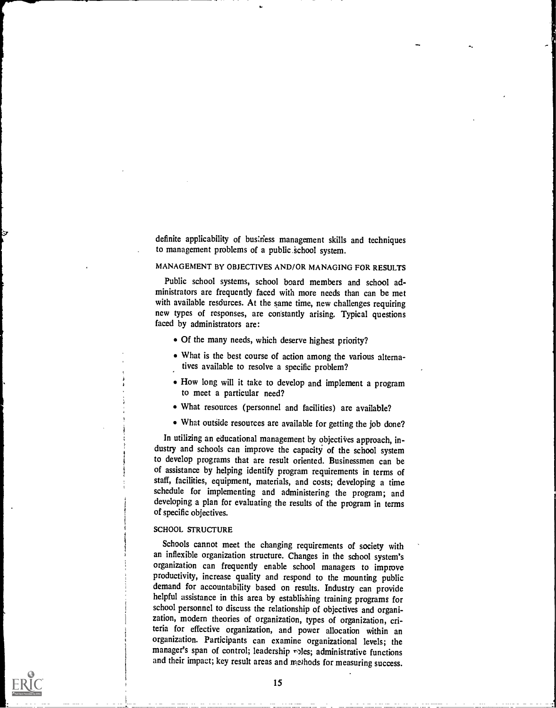definite applicability of business management skills and techniques to management problems of a public school system.

#### MANAGEMENT BY OBJECTIVES AND/OR MANAGING FOR RESULTS

Public school systems, school board members and school administrators are frequently faced with more needs than can be met with available resdurces. At the same time, new challenges requiring new types of responses, are constantly arising. Typical questions faced by administrators are:

- Of the many needs, which deserve highest priority?
- What is the best course of action among the various alternatives available to resolve a specific problem?
- How long will it take to develop and implement a program to meet a particular need?
- What resources (personnel and facilities) are available?
- What outside resources are available for getting the job done?

In utilizing an educational management by objectives approach, industry and schools can improve the capacity of the school system to develop programs that are result oriented. Businessmen can be of assistance by helping identify program requirements in terms of staff, facilities, equipment, materials, and costs; developing a time schedule for implementing and administering the program; and developing a plan for evaluating the results of the program in terms of specific objectives.

#### SCHOOL STRUCTURE

Schools cannot meet the changing requirements of society with an inflexible organization structure. Changes in the school system's organization can frequently enable school managers to improve productivity, increase quality and respond to the mounting public demand for accountability based on results. Industry can provide helpful assistance in this area by establishing training programs for school personnel to discuss the relationship of objectives and organization, modern theories of organization, types of organization, criteria for effective organization, and power allocation within an organization. Participants can examine organizational levels; the manager's span of control; leadership roles; administrative functions and their impact; key result areas and methods for measuring success.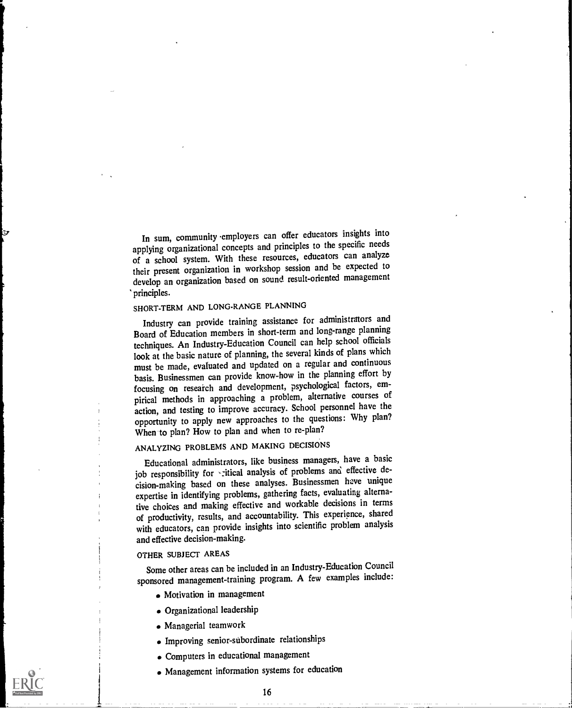In sum, community employers can offer educators insights into applying organizational concepts and principles to the specific needs of a school system. With these resources, educators can analyze their present organization in workshop session and be expected to develop an organization based on sound result-oriented management principles.

### SHORT-TERM AND LONG-RANGE PLANNING

Industry can provide training assistance for administrators and Board of Education members in short-term and long-range planning techniques. An Industry-Education Council can help school officials look at the basic nature of planning, the several kinds of plans which must be made, evaluated and updated on a regular and continuous basis. Businessmen can provide know-how in the planning effort by focusing on reseaich and development, psychological factors, empirical methods in approaching a problem, alternative courses of action, and testing to improve accuracy. School personnel have the opportunity to apply new approaches to the questions: Why plan? When to plan? How to plan and when to re-plan?

## ANALYZING PROBLEMS AND MAKING DECISIONS

Educational administrators, like business managers, have a basic job responsibility for -: itical analysis of problems and effective decision-making based on these analyses. Businessmen have unique expertise in identifying problems, gathering facts, evaluating alternative choices and making effective and workable decisions in terms of productivity, results, and accountability. This experience, shared with educators, can provide insights into scientific problem analysis and effective decision-making.

#### OTHER SUBJECT AREAS

Some other areas can be included in an Industry-Education Council sponsored management-training program. A few examples include:

- Motivation in management
- Organizational leadership
- Managerial teamwork
- Improving senior-subordinate relationships
- Computers in educational management
- Management information systems for education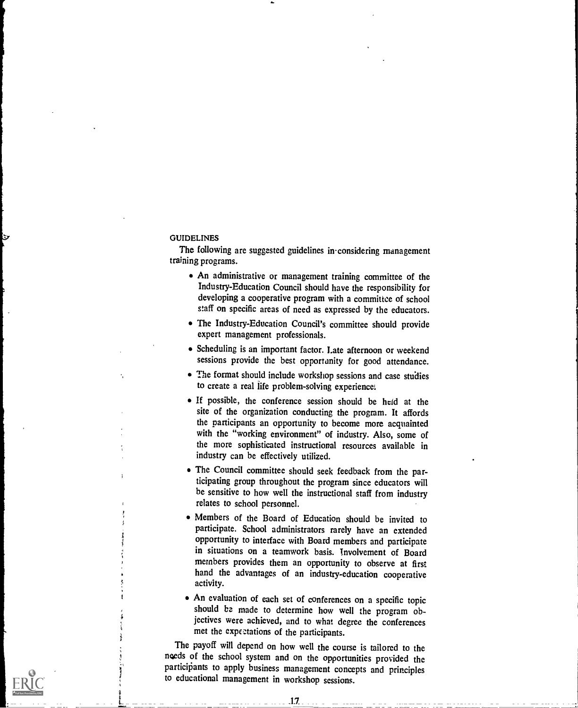#### GUIDELINES

 $\sim$ 

The following are suggested guidelines in considering management training programs.

- An administrative or management training committee of the Industry-Education Council should have the responsibility for developing a cooperative program with a committee of school staff on specific areas of need as expressed by the educators.
- The Industry-Education Council's committee should provide expert management professionals.
- Scheduling is an important factor. Late afternoon or weekend sessions provide the best opportanity for good attendance.
- The format should include workshop sessions and case studies to create a real life problem-solving experience:
- If possible, the conference session should be held at the site of the organization conducting the program. It affords the participants an opportunity to become more acquainted with the "working environment" of industry. Also, some of the more sophisticated instructional resources available in industry can be effectively utilized.
- The Council committee should seek feedback from the participating group throughout the program since educators will be sensitive to how well the instructional staff from industry relates to school personnel.
- Members of the Board of Education should be invited to participate. School administrators rarely have an extended opportunity to interface with Board members and participate in situations on a teamwork basis. Involvement of Board members provides them an opportunity to observe at firs: hand the advantages of an industry-education cooperative activity.
- An evaluation of each set of conferences on a specific topic should be made to determine how well the program objectives were achieved, and to what degree the conferences met the expectations of the participants.

The payoff will depend on how well the course is tailored to the needs of the school system and on the opportunities provided the participants to apply business management concepts and principles to educational management in workshop sessions.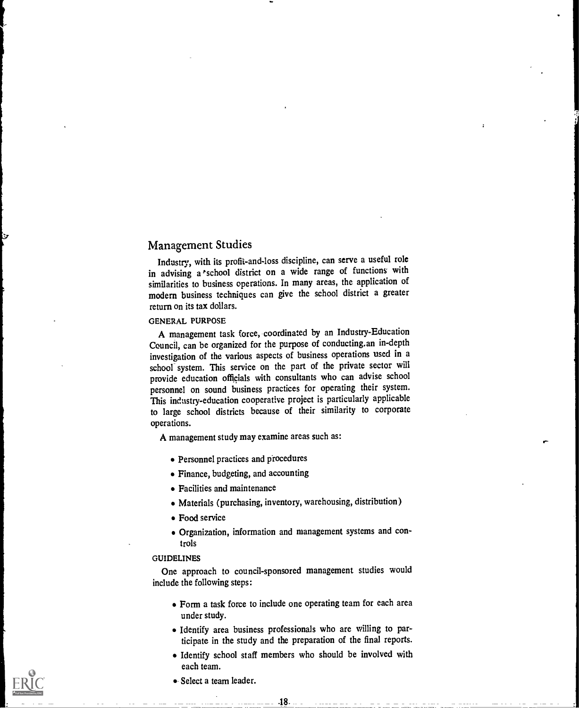## Management Studies

Industry, with its profit-and-loss discipline, can serve a useful role in advising a 'school district on a wide range of functions with similarities to business operations. In many areas, the application of modern business techniques can give the school district a greater return on its tax dollars.

#### GENERAL PURPOSE

A management task force, coordinated by an Industry-Education Council, can be organized for the purpose of conducting.an in-depth investigation of the various aspects of business operations used in a school<sup>-</sup> system. This service on the part of the private sector will provide education officials with consultants who can advise school personnel on sound business practices for operating their system. This industry-education cooperative project is particularly applicable to large school districts because of their similarity to corporate operations.

A management study may examine areas such as:

- Personnel practices and procedures
- Finance, budgeting, and accounting
- Facilities and maintenance
- Materials (purchasing, inventory, warehousing, distribution)
- Food service
- Organization, information and management systems and controls

#### GUIDELINES

One approach to council-sponsored management studies would include the following steps:

- Form a task force to include one operating team for each area under study.
- Identify area business professionals who are willing to participate in the study and the preparation of the final reports.
- Identify school staff members who should be involved with each team.
- Select a team leader.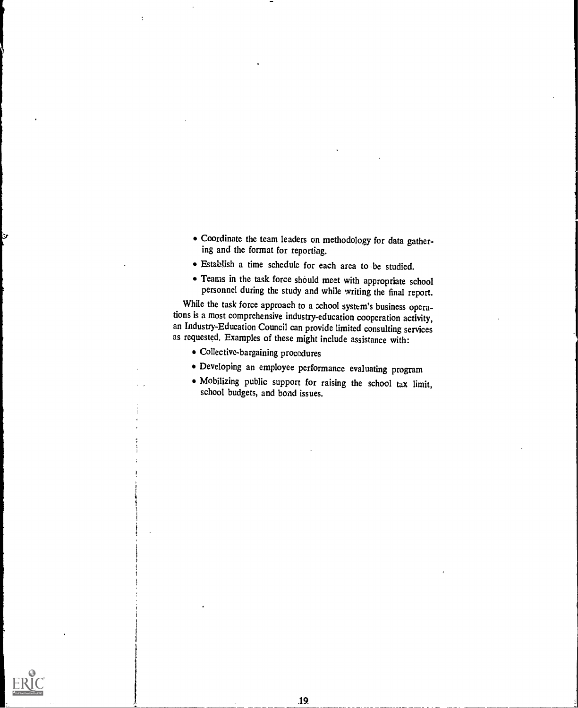- Coordinate the team leaders on methodology for data gathering and the format for reporting.
- Establish a time schedule for each area to be studied.
- Teams in the task force should meet with appropriate school personnel during the study and while writing the final report.

While the task force approach to a school system's business operations is a most comprehensive industry-education cooperation activity, an Industry-Education Council can provide limited consulting services as requested. Examples of these might include assistance with:

- Collective-bargaining procedures
- Developing an employee performance evaluating program

19.

Mobilizing public support for raising the school tax limit, school budgets, and bond issues.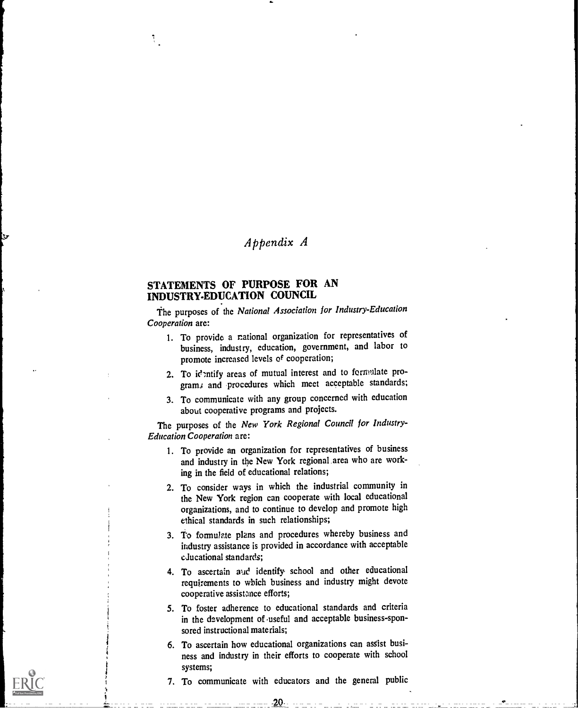## Appendix A

## STATEMENTS OF PURPOSE FOR AN INDUSTRY-EDUCATION COUNCIL

 $\mathcal{R}_1$ 

The purposes of the National Association for Industry-Education Cooperation are:

- 1. To provide a rational organization for representatives of business, industry, education, government, and labor to promote increased levels of cooperation;
- 2. To identify areas of mutual interest and to formulate programs and procedures which meet acceptable standards;
- 3. To communicate with any group concerned with education about cooperative programs and projects.

The purposes of the New York Regional Council for Industry-Education Cooperation are:

- 1. To provide an organization for representatives of business and industry in the New York regional area who are working in the field of educational relations;
- 2. To consider ways in which the industrial community in the New York region can cooperate with local educational organizations, and to continue to develop and promote high ethical standards in such relationships;
- 3. To formulate plans and procedures whereby business and industry assistance is provided in accordance with acceptable educational standards;
- 4. To ascertain and identify school and other educational requirements to which business and industry might devote cooperative assistance efforts;
- 5. To foster adherence to educational standards and criteria in the development of useful and acceptable business-sponsored instructional materials;
- 6. To ascertain how educational organizations can assist business and industry in their efforts to cooperate with school systems;
- 7. To communicate with educators and the general public

 $20 \,$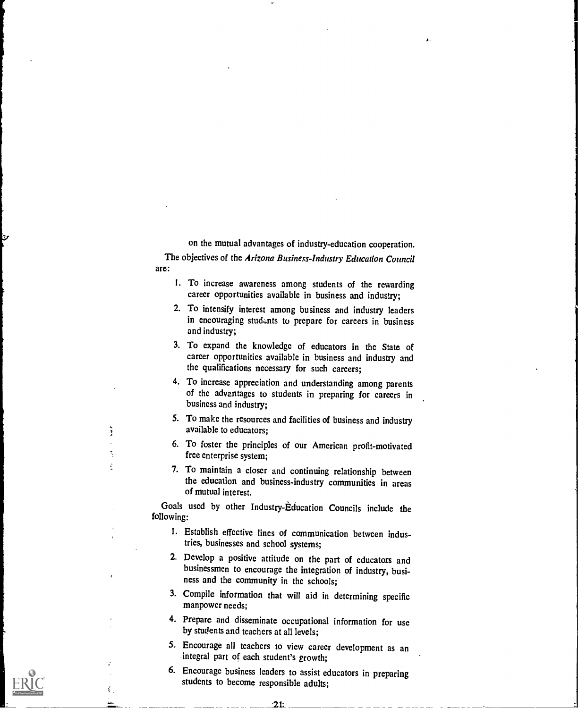on the mutual advantages of industry-education cooperation.

The objectives of the Arizona Business-Industry Education Council are:

ty.

- I. To increase awareness among students of the rewarding career opportunities available in business and industry;
- 2. To intensify interest among business and industry leaders in encouraging students to prepare for careers in business and industry;
- 3. To expand the knowledge of educators in the State of career opportunities available in business and industry and the qualifications necessary for such careers;
- 4. To increase appreciation and understanding among parents of the advantages to students in preparing for careers in business and industry;
- 5. To make the resources and facilities of business and industry available to educators;
- 6. To foster the principles of our American profit-motivated free enterprise system;
- 7. To maintain a closer and continuing relationship between the education and business-industry communities in areas of mutual interest.

Goals used by other Industry-Education Councils include the following:

- I. Establish effective lines of communication between industries, businesses and school systems;
- 2. Develop a positive attitude on the part of educators and businessmen to encourage the integration of industry, business and the community in the schools;
- 3. Compile information that will aid in determining specific manpower needs;
- 4. Prepare and disseminate occupational information for use by students and teachers at all levels;
- 5. Encourage all teachers to view career development as an integral part of each student's growth;
- 6. Encourage business leaders to assist educators in preparing students to become responsible adults;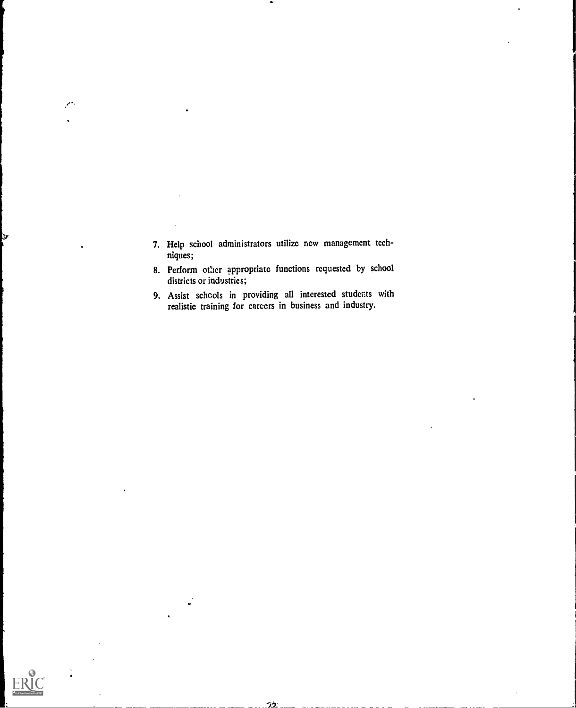- 7. Help school administrators utilize new management techniques;
- 8. Perform other appropriate functions requested by school districts or industries;
- 9. Assist schools in providing all interested students with realistic training for careers in business and industry.



Э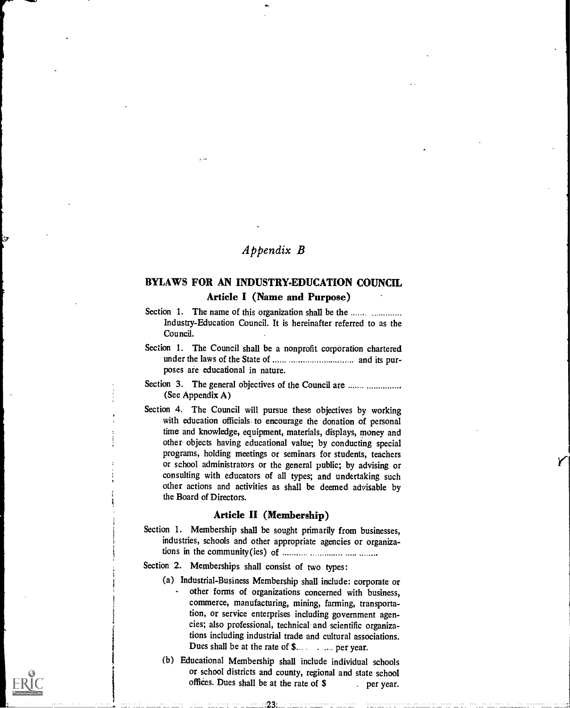## Appendix B

### BYLAWS FOR AN INDUSTRY-EDUCATION COUNCIL Article I (Name and Purpose)

- Section 1. The name of this organization shall be the ....... ............. Industry-Education Council. It is hereinafter referred to as the Council.
- Section 1. The Council shall be a nonprofit corporation chartered under the laws of the State of and its purposes are educational in nature.
- Section 3. The general objectives of the Council are ....... .............. (See Appendix A)
- Section 4. The Council will pursue these objectives by working with education officials- to encourage the donation of personal time and knowledge, equipment, materials, displays, money and other objects having educational value; by conducting special programs, holding meetings or seminars for students, teachers or school administrators or the general public; by advising or consulting with educators of all types; and undertaking such other actions and activities as shall be deemed advisable by the Board of Directors.

#### Article H (Membership)

Section 1. Membership shall be sought primarily from businesses, industries, schools and other appropriate agencies or organizations in the community(ies) of

#### Section 2. Memberships shall consist of two types:

- (a) Industrial-Business Membership shall include: corporate or other forms of organizations concerned with business, commerce, manufacturing, mining, farming, transportation, or service enterprises including government agencies; also professional, technical and scientific organizations including industrial trade and cultural associations. Dues shall be at the rate of \$... ... ... per year.
- (b) Educational Membership shall include individual schools or school districts and county, regional and state school offices. Dues shall be at the rate of  $$$  per year.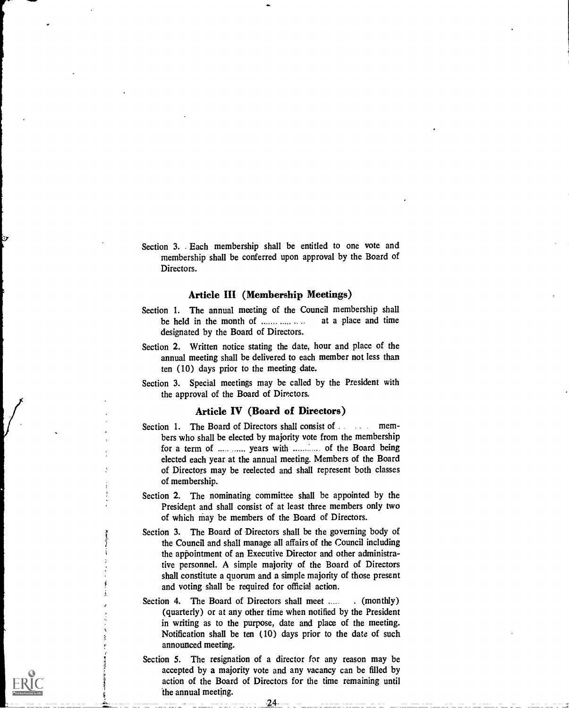Section 3. Each membership shall be entitled to one vote and membership shall be conferred upon approval by the Board of Directors.

#### Article HI (Membership Meetings)

- Section 1. The annual meeting of the Council membership shall<br>be held in the month of  $\ldots$   $\ldots$   $\ldots$  at a place and time be held in the month of  $\ldots$ designated by the Board of Directors.
- Section 2. Written notice stating the date, hour and place of the annual meeting shall be delivered to each member not less than ten (10) days prior to the meeting date.
- Section 3. Special meetings may be called by the President with the approval of the Board of Directors.

#### Article IV (Board of Directors)

- Section 1. The Board of Directors shall consist of . . . . . members who shall be elected by majority vote from the membership for a term of ..... ...... years with ............. of the Board being elected each year at the annual meeting. Members of the Board of Directors may be reelected and shall represent both classes of membership.
- Section 2. The nominating committee shall be appointed by the President and shall consist of at least three members only two of which may be members of the Board of Directors.
- Section 3. The Board of Directors shall be the governing body of the Council and shall manage all affairs of the Council including the appointment of an Executive Director and other administrative personnel. A simple majority of the Board of Directors shall constitute a quorum and a simple majority of those present and voting shall be required for official action.
- Section 4. The Board of Directors shall meet ..... (monthly) (quarterly) or at any other time when notified by the President in writing as to the purpose, date and place of the meeting. Notification shall be ten (10) days prior to the date of such announced meeting.
- Section 5. The resignation of a director for any reason may be accepted by a majority vote and any vacancy can be filled by action of the Board of Directors for the time remaining until the annual meeting.

-24-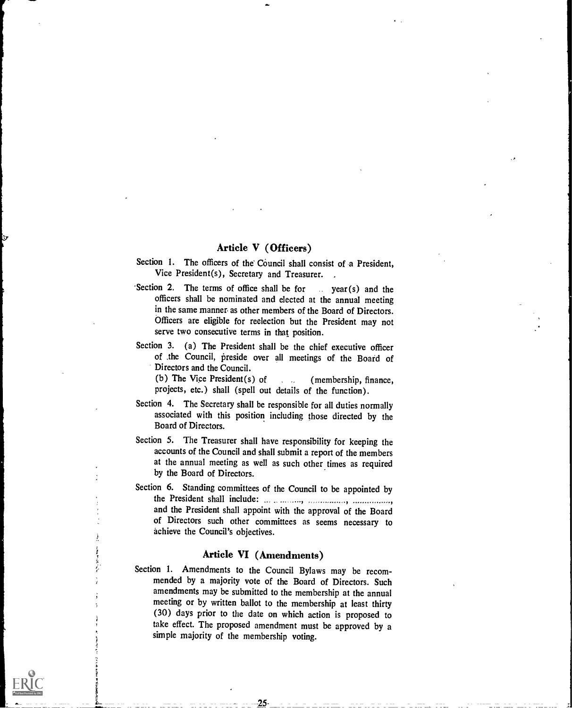#### Article V (Officers)

- Section 1. The officers of the Council shall consist of a President, Vice President(s), Secretary and Treasurer.
- 'Section 2. The terms of office shall be for  $\ldots$  year(s) and the officers shall be nominated and elected at the annual meeting in the same manner as other members of the Board of Directors. Officers are eligible for reelection but the President may not serve two consecutive terms in that position.
- Section 3. (a) The President shall be the chief executive officer of the Council, preside over all meetings of the Board of Directors and the Council.

(b) The Vice President(s) of  $\qquad \qquad$  (membership, finance, projects, etc.) shall (spell out details of the function).

- Section 4. The Secretary shall be responsible for all duties normally associated with this position including those directed by the Board of Directors.
- Section 5. The Treasurer shall have responsibility for keeping the accounts of the Council and shall submit a report of the members at the annual meeting as well as such other times as required by the Board of Directors.
- Section 6. Standing committees of the Council to be appointed by the President shall include. and the President shall appoint with the approval of the Board of Directors such other committees as seems necessary to achieve the Council's objectives.

#### Article VI (Amendments)

Section 1. Amendments to the Council Bylaws may be recommended by a majority vote of the Board of Directors. Such amendments may be submitted to the membership at the annual meeting or by written ballot to the membership at least thirty (30) days prior to the date on which action is proposed to take effect. The proposed amendment must be approved by a simple majority of the membership voting.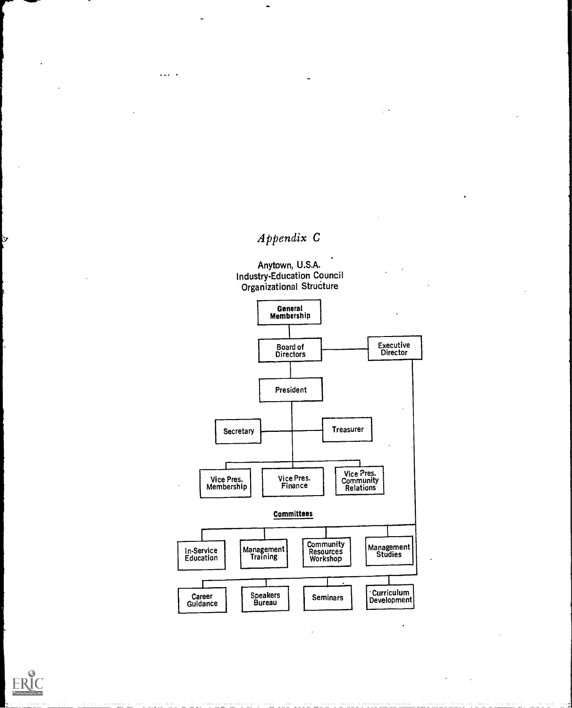## Appendix C

Anytown, U.S.A. Industry-Education Council Organizational StruCture





ŀУ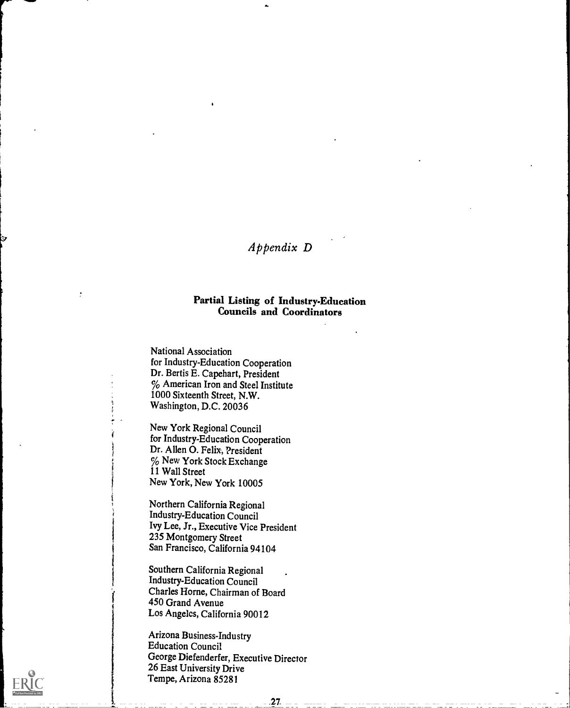## Appendix D

44

I

#### Partial Listing of Industry-Education Councils and Coordinators

National Association for Industry-Education Cooperation Dr. Bertis E. Capehart, President  $%$  American Iron and Steel Institute 1000 Sixteenth Street, N.W. Washington, D.C. 20036

New York Regional Council for Industry-Education Cooperation Dr. Allen 0. Felix, President  $\%$  New York Stock Exchange 11 Wall Street New York, New York 10005

Northern California Regional Industry-Education Council Ivy Lee, Jr., Executive Vice President 235 Montgomery Street San Francisco, California 94104

Southern California Regional Industry-Education Council Charles Horne, Chairman of Board 450 Grand Avenue Los Angeles, California 90012

Arizona Business-Industry Education Council George Diefenderfer, Executive Director 26 East University Drive Tempe, Arizona 85281

.27.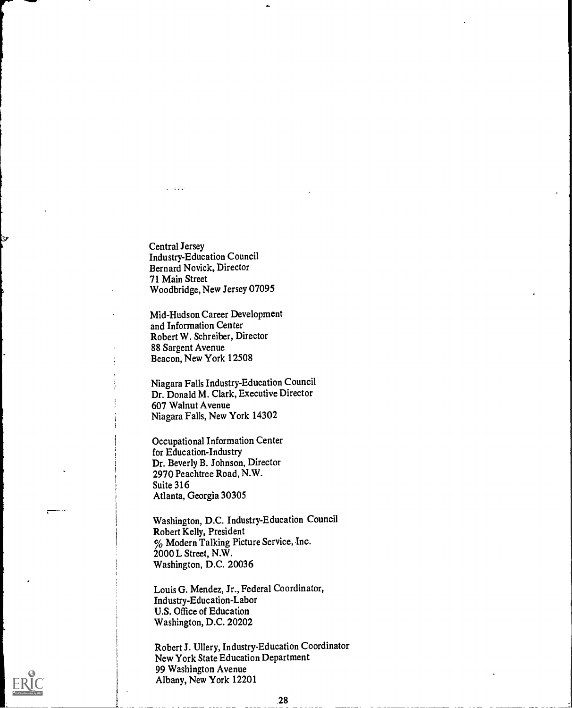Central Jersey Industry-Education Council Bernard Novick, Director 71 Main Street Woodbridge, New Jersey 07095

r

تخا

Mid-Hudson Career Development and Information Center Robert W. Schreiber, Director 88 Sargent Avenue Beacon, New York 12508

Niagara Falls Industry-Education Council Dr. Donald M. Clark, Executive Director 607 Walnut Avenue Niagara Falls, New York 14302

Occupational Information Center for Education-Industry Dr. Beverly B. Johnson, Director 2970 Peachtree Road, N.W. Suite 316 Atlanta, Georgia 30305

Washington, D.C. Industry-Education Council Robert Kelly, President % Modern Talking Picture Service, Inc. 2000 L Street, N.W. Washington, D.C. 20036

Louis G. Mendez, Jr., Federal Coordinator, Industry-Education-Labor U.S. Office of Education Washington, D.C. 20202

Robert J. Ullery, Industry-Education Coordinator New York State Education Department 99 Washington Avenue Albany, New York 12201